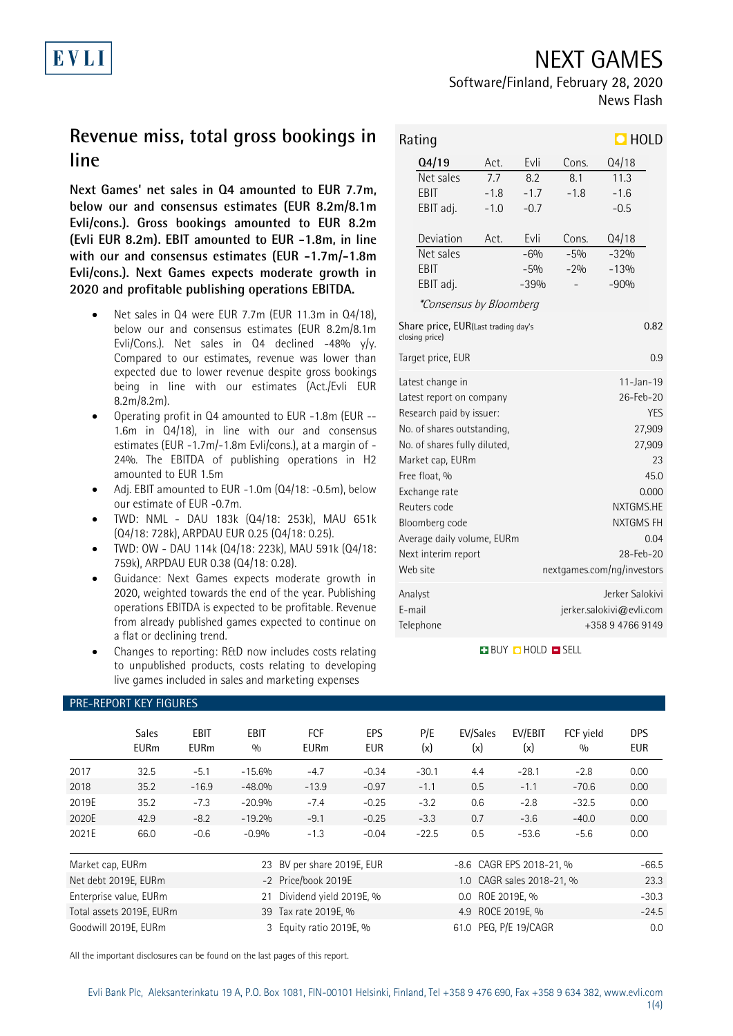News Flash

Software/Finland, February 28, 2020

# **EVLI**

## **Revenue miss, total gross bookings in line**

**Next Games' net sales in Q4 amounted to EUR 7.7m, below our and consensus estimates (EUR 8.2m/8.1m Evli/cons.). Gross bookings amounted to EUR 8.2m (Evli EUR 8.2m). EBIT amounted to EUR -1.8m, in line with our and consensus estimates (EUR -1.7m/-1.8m Evli/cons.). Next Games expects moderate growth in 2020 and profitable publishing operations EBITDA.**

- Net sales in Q4 were EUR 7.7m (EUR 11.3m in Q4/18), below our and consensus estimates (EUR 8.2m/8.1m Evli/Cons.). Net sales in  $Q4$  declined -48% y/y. Compared to our estimates, revenue was lower than expected due to lower revenue despite gross bookings being in line with our estimates (Act./Evli EUR 8.2m/8.2m).
- Operating profit in Q4 amounted to EUR -1.8m (EUR -- 1.6m in Q4/18), in line with our and consensus estimates (EUR -1.7m/-1.8m Evli/cons.), at a margin of - 24%. The EBITDA of publishing operations in H2 amounted to EUR 1.5m
- Adj. EBIT amounted to EUR -1.0m (Q4/18: -0.5m), below our estimate of EUR -0.7m.
- TWD: NML DAU 183k (Q4/18: 253k), MAU 651k (Q4/18: 728k), ARPDAU EUR 0.25 (Q4/18: 0.25).
- TWD: OW DAU 114k (Q4/18: 223k), MAU 591k (Q4/18: 759k), ARPDAU EUR 0.38 (Q4/18: 0.28).
- Guidance: Next Games expects moderate growth in 2020, weighted towards the end of the year. Publishing operations EBITDA is expected to be profitable. Revenue from already published games expected to continue on a flat or declining trend.
- Changes to reporting: R&D now includes costs relating to unpublished products, costs relating to developing live games included in sales and marketing expenses

PRE-REPORT KEY FIGURES

| $\Box$ HOLD<br>Rating                                         |                                    |        |            |           |                            |      |  |  |
|---------------------------------------------------------------|------------------------------------|--------|------------|-----------|----------------------------|------|--|--|
|                                                               | Q4/19                              | Act.   | Evli       | Cons.     | Q4/18                      |      |  |  |
|                                                               | Net sales                          | 7.7    | 8.2        | 8.1       | 11.3                       |      |  |  |
|                                                               | EBIT                               | $-1.8$ | $-1.7$     | $-1.8$    | $-1.6$                     |      |  |  |
|                                                               | EBIT adj.                          | $-1.0$ | $-0.7$     |           | $-0.5$                     |      |  |  |
|                                                               | Deviation                          | Act.   | Evli       | Cons.     | Q4/18                      |      |  |  |
|                                                               | Net sales                          |        | $-6%$      | $-5%$     | $-32%$                     |      |  |  |
|                                                               | <b>FRIT</b>                        |        | $-5%$      | $-20/0$   | $-13%$                     |      |  |  |
|                                                               | EBIT adj.                          |        | $-39%$     |           | $-90%$                     |      |  |  |
|                                                               | *Consensus by Bloomberg            |        |            |           |                            |      |  |  |
| Share price, EUR(Last trading day's<br>0.82<br>closing price) |                                    |        |            |           |                            |      |  |  |
| Target price, EUR<br>0.9                                      |                                    |        |            |           |                            |      |  |  |
| Latest change in<br>$11 - Jan - 19$                           |                                    |        |            |           |                            |      |  |  |
|                                                               | Latest report on company           |        | 26-Feb-20  |           |                            |      |  |  |
|                                                               | Research paid by issuer:           |        | <b>YES</b> |           |                            |      |  |  |
|                                                               | No. of shares outstanding,         |        |            | 27,909    |                            |      |  |  |
|                                                               | No. of shares fully diluted.       |        |            | 27,909    |                            |      |  |  |
|                                                               | Market cap, EURm                   |        | 23         |           |                            |      |  |  |
| Free float, %                                                 |                                    |        |            |           |                            | 45.0 |  |  |
|                                                               | Exchange rate                      |        |            | 0.000     |                            |      |  |  |
|                                                               | Reuters code                       |        |            | NXTGMS.HE |                            |      |  |  |
|                                                               | Bloomberg code                     |        | NXTGMS FH  |           |                            |      |  |  |
|                                                               | Average daily volume, EURm         |        | 0.04       |           |                            |      |  |  |
|                                                               | Next interim report                |        | 28-Feb-20  |           |                            |      |  |  |
|                                                               | Web site                           |        |            |           | nextgames.com/ng/investors |      |  |  |
|                                                               | Analyst                            |        |            |           | Jerker Salokivi            |      |  |  |
|                                                               | E-mail<br>jerker.salokivi@evli.com |        |            |           |                            |      |  |  |
|                                                               | Telephone<br>+358 9 4766 9149      |        |            |           |                            |      |  |  |

### **BUY CHOLD ESELL**

|                              | <b>Sales</b><br><b>EURm</b>                                              | EBIT<br><b>EURm</b> | <b>EBIT</b><br>0/0 | <b>FCF</b><br><b>EURm</b> | EPS<br><b>EUR</b> | P/E<br>(x)               | EV/Sales<br>(x)       | EV/EBIT<br>(x) | FCF vield<br>0/0 | <b>DPS</b><br><b>EUR</b> |
|------------------------------|--------------------------------------------------------------------------|---------------------|--------------------|---------------------------|-------------------|--------------------------|-----------------------|----------------|------------------|--------------------------|
| 2017                         | 32.5                                                                     | $-5.1$              | $-15.6%$           | $-4.7$                    | $-0.34$           | $-30.1$                  | 4.4                   | $-28.1$        | $-2.8$           | 0.00                     |
| 2018                         | 35.2                                                                     | $-16.9$             | $-48.0%$           | $-13.9$                   | $-0.97$           | $-1.1$                   | 0.5                   | $-1.1$         | $-70.6$          | 0.00                     |
| 2019E                        | 35.2                                                                     | $-7.3$              | $-20.9%$           | $-7.4$                    | $-0.25$           | $-3.2$                   | 0.6                   | $-2.8$         | $-32.5$          | 0.00                     |
| 2020E                        | 42.9                                                                     | $-8.2$              | $-19.2%$           | $-9.1$                    | $-0.25$           | $-3.3$                   | 0.7                   | $-3.6$         | $-40.0$          | 0.00                     |
| 2021E                        | 66.0                                                                     | $-0.6$              | $-0.9%$            | $-1.3$                    | $-0.04$           | $-22.5$                  | 0.5                   | $-53.6$        | $-5.6$           | 0.00                     |
| Market cap, EURm             |                                                                          |                     | 23                 | BV per share 2019E, EUR   |                   | -8.6 CAGR EPS 2018-21, % |                       |                | $-66.5$          |                          |
|                              | Net debt 2019E, EURm<br>-2 Price/book 2019E<br>1.0 CAGR sales 2018-21, % |                     |                    |                           |                   | 23.3                     |                       |                |                  |                          |
| Enterprise value, EURm<br>21 |                                                                          |                     |                    | Dividend yield 2019E, %   |                   |                          | 0.0 ROE 2019E, %      |                |                  | $-30.3$                  |
| Total assets 2019E, EURm     |                                                                          |                     |                    | 39 Tax rate 2019E, %      |                   | 4.9 ROCE 2019E, %        |                       |                | $-24.5$          |                          |
| Goodwill 2019E, EURm         |                                                                          |                     |                    | 3 Equity ratio 2019E, %   |                   |                          | 61.0 PEG, P/E 19/CAGR |                |                  | 0 <sub>c</sub>           |

All the important disclosures can be found on the last pages of this report.

1(4)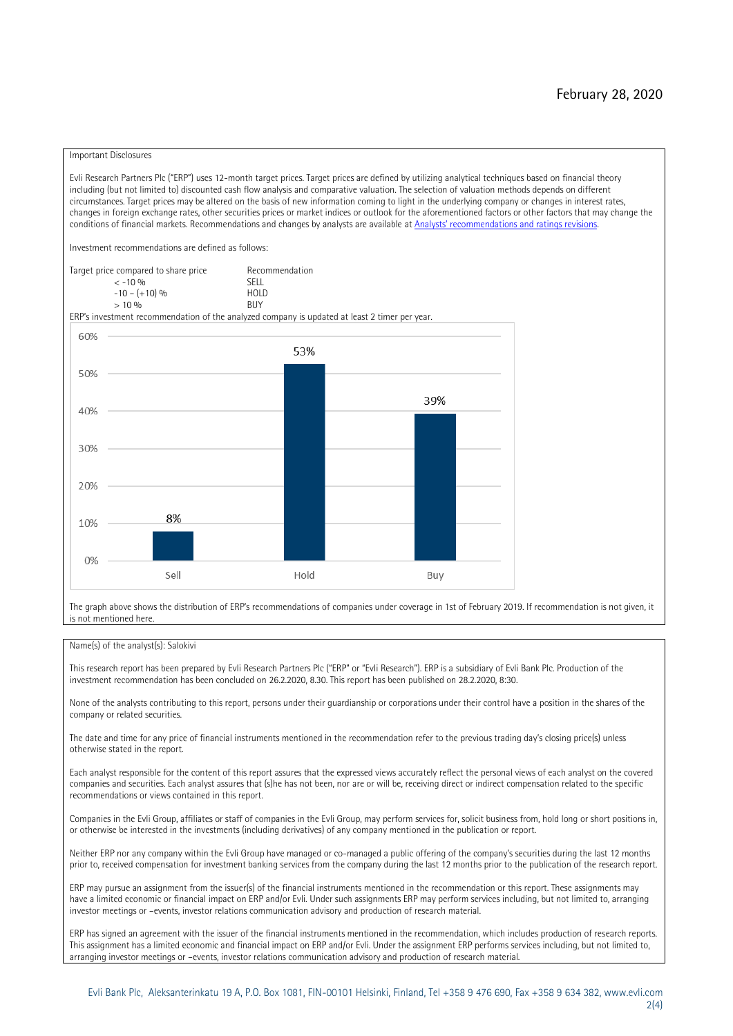#### Important Disclosures

Evli Research Partners Plc ("ERP") uses 12-month target prices. Target prices are defined by utilizing analytical techniques based on financial theory including (but not limited to) discounted cash flow analysis and comparative valuation. The selection of valuation methods depends on different circumstances. Target prices may be altered on the basis of new information coming to light in the underlying company or changes in interest rates, changes in foreign exchange rates, other securities prices or market indices or outlook for the aforementioned factors or other factors that may change the conditions of financial markets. Recommendations and changes by analysts are available at [Analysts' recommendations and ratings revisions](https://research.evli.com/JasperAllModels.action?authParam=key;461&authParam=x;G3rNagWrtf7K&authType=3).

Investment recommendations are defined as follows:

Target price compared to share price Recommendation<br>CELL CALLO 06 < -10 % SELL  $-10 - (+10) \%$  HOL<br>  $> 10 \%$  $> 10\%$ 

ERP's investment recommendation of the analyzed company is updated at least 2 timer per year.



The graph above shows the distribution of ERP's recommendations of companies under coverage in 1st of February 2019. If recommendation is not given, it is not mentioned here.

#### Name(s) of the analyst(s): Salokivi

This research report has been prepared by Evli Research Partners Plc ("ERP" or "Evli Research"). ERP is a subsidiary of Evli Bank Plc. Production of the investment recommendation has been concluded on 26.2.2020, 8.30. This report has been published on 28.2.2020, 8:30.

None of the analysts contributing to this report, persons under their guardianship or corporations under their control have a position in the shares of the company or related securities.

The date and time for any price of financial instruments mentioned in the recommendation refer to the previous trading day's closing price(s) unless otherwise stated in the report.

Each analyst responsible for the content of this report assures that the expressed views accurately reflect the personal views of each analyst on the covered companies and securities. Each analyst assures that (s)he has not been, nor are or will be, receiving direct or indirect compensation related to the specific recommendations or views contained in this report.

Companies in the Evli Group, affiliates or staff of companies in the Evli Group, may perform services for, solicit business from, hold long or short positions in, or otherwise be interested in the investments (including derivatives) of any company mentioned in the publication or report.

Neither ERP nor any company within the Evli Group have managed or co-managed a public offering of the company's securities during the last 12 months prior to, received compensation for investment banking services from the company during the last 12 months prior to the publication of the research report.

ERP may pursue an assignment from the issuer(s) of the financial instruments mentioned in the recommendation or this report. These assignments may have a limited economic or financial impact on ERP and/or Evli. Under such assignments ERP may perform services including, but not limited to, arranging investor meetings or –events, investor relations communication advisory and production of research material.

ERP has signed an agreement with the issuer of the financial instruments mentioned in the recommendation, which includes production of research reports. This assignment has a limited economic and financial impact on ERP and/or Evli. Under the assignment ERP performs services including, but not limited to, arranging investor meetings or –events, investor relations communication advisory and production of research material.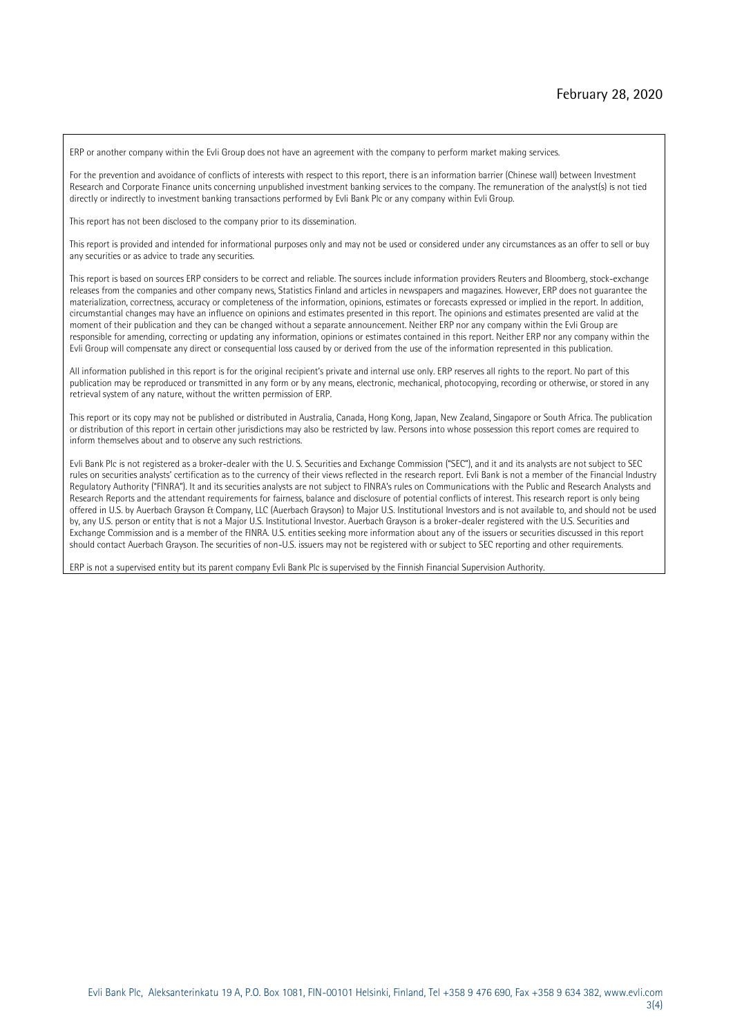ERP or another company within the Evli Group does not have an agreement with the company to perform market making services.

For the prevention and avoidance of conflicts of interests with respect to this report, there is an information barrier (Chinese wall) between Investment Research and Corporate Finance units concerning unpublished investment banking services to the company. The remuneration of the analyst(s) is not tied directly or indirectly to investment banking transactions performed by Evli Bank Plc or any company within Evli Group.

This report has not been disclosed to the company prior to its dissemination.

This report is provided and intended for informational purposes only and may not be used or considered under any circumstances as an offer to sell or buy any securities or as advice to trade any securities.

This report is based on sources ERP considers to be correct and reliable. The sources include information providers Reuters and Bloomberg, stock-exchange releases from the companies and other company news, Statistics Finland and articles in newspapers and magazines. However, ERP does not guarantee the materialization, correctness, accuracy or completeness of the information, opinions, estimates or forecasts expressed or implied in the report. In addition, circumstantial changes may have an influence on opinions and estimates presented in this report. The opinions and estimates presented are valid at the moment of their publication and they can be changed without a separate announcement. Neither ERP nor any company within the Evli Group are responsible for amending, correcting or updating any information, opinions or estimates contained in this report. Neither ERP nor any company within the Evli Group will compensate any direct or consequential loss caused by or derived from the use of the information represented in this publication.

All information published in this report is for the original recipient's private and internal use only. ERP reserves all rights to the report. No part of this publication may be reproduced or transmitted in any form or by any means, electronic, mechanical, photocopying, recording or otherwise, or stored in any retrieval system of any nature, without the written permission of ERP.

This report or its copy may not be published or distributed in Australia, Canada, Hong Kong, Japan, New Zealand, Singapore or South Africa. The publication or distribution of this report in certain other jurisdictions may also be restricted by law. Persons into whose possession this report comes are required to inform themselves about and to observe any such restrictions.

Evli Bank Plc is not registered as a broker-dealer with the U. S. Securities and Exchange Commission ("SEC"), and it and its analysts are not subject to SEC rules on securities analysts' certification as to the currency of their views reflected in the research report. Evli Bank is not a member of the Financial Industry Regulatory Authority ("FINRA"). It and its securities analysts are not subject to FINRA's rules on Communications with the Public and Research Analysts and Research Reports and the attendant requirements for fairness, balance and disclosure of potential conflicts of interest. This research report is only being offered in U.S. by Auerbach Grayson & Company, LLC (Auerbach Grayson) to Major U.S. Institutional Investors and is not available to, and should not be used by, any U.S. person or entity that is not a Major U.S. Institutional Investor. Auerbach Grayson is a broker-dealer registered with the U.S. Securities and Exchange Commission and is a member of the FINRA. U.S. entities seeking more information about any of the issuers or securities discussed in this report should contact Auerbach Grayson. The securities of non-U.S. issuers may not be registered with or subject to SEC reporting and other requirements.

ERP is not a supervised entity but its parent company Evli Bank Plc is supervised by the Finnish Financial Supervision Authority.